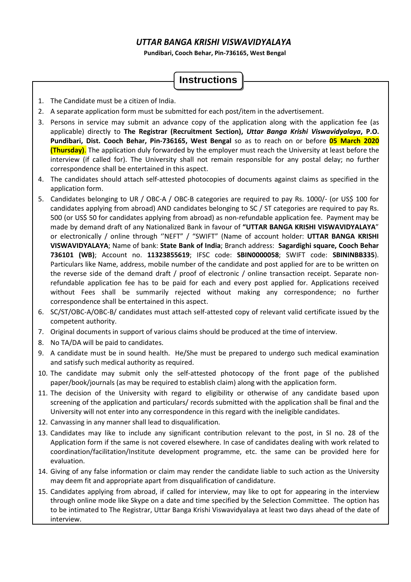# *UTTAR BANGA KRISHI VISWAVIDYALAYA*

**Pundibari, Cooch Behar, Pin-736165, West Bengal** 

# **Instructions**

- 1. The Candidate must be a citizen of India.
- 2. A separate application form must be submitted for each post/item in the advertisement.
- 3. Persons in service may submit an advance copy of the application along with the application fee (as applicable) directly to **The Registrar (Recruitment Section),** *Uttar Banga Krishi Viswavidyalaya***, P.O. Pundibari, Dist. Cooch Behar, Pin-736165, West Bengal** so as to reach on or before **05 March 2020 (Thursday)**. The application duly forwarded by the employer must reach the University at least before the interview (if called for). The University shall not remain responsible for any postal delay; no further correspondence shall be entertained in this aspect.
- 4. The candidates should attach self-attested photocopies of documents against claims as specified in the application form.
- 5. Candidates belonging to UR / OBC-A / OBC-B categories are required to pay Rs. 1000/- (or US\$ 100 for candidates applying from abroad) AND candidates belonging to SC / ST categories are required to pay Rs. 500 (or US\$ 50 for candidates applying from abroad) as non-refundable application fee. Payment may be made by demand draft of any Nationalized Bank in favour of **"UTTAR BANGA KRISHI VISWAVIDYALAYA**" or electronically / online through ''NEFT" / "SWIFT" (Name of account holder: **UTTAR BANGA KRISHI VISWAVIDYALAYA**; Name of bank: **State Bank of India**; Branch address: **Sagardighi square, Cooch Behar 736101 (WB)**; Account no. **11323855619**; IFSC code: **SBIN0000058**; SWIFT code: **SBININBB335**). Particulars like Name, address, mobile number of the candidate and post applied for are to be written on the reverse side of the demand draft / proof of electronic / online transaction receipt. Separate nonrefundable application fee has to be paid for each and every post applied for. Applications received without Fees shall be summarily rejected without making any correspondence; no further correspondence shall be entertained in this aspect.
- 6. SC/ST/OBC-A/OBC-B/ candidates must attach self-attested copy of relevant valid certificate issued by the competent authority.
- 7. Original documents in support of various claims should be produced at the time of interview.
- 8. No TA/DA will be paid to candidates.
- 9. A candidate must be in sound health. He/She must be prepared to undergo such medical examination and satisfy such medical authority as required.
- 10. The candidate may submit only the self-attested photocopy of the front page of the published paper/book/journals (as may be required to establish claim) along with the application form.
- 11. The decision of the University with regard to eligibility or otherwise of any candidate based upon screening of the application and particulars/ records submitted with the application shall be final and the University will not enter into any correspondence in this regard with the ineligible candidates.
- 12. Canvassing in any manner shall lead to disqualification.
- 13. Candidates may like to include any significant contribution relevant to the post, in Sl no. 28 of the Application form if the same is not covered elsewhere. In case of candidates dealing with work related to coordination/facilitation/Institute development programme, etc. the same can be provided here for evaluation.
- 14. Giving of any false information or claim may render the candidate liable to such action as the University may deem fit and appropriate apart from disqualification of candidature.
- 15. Candidates applying from abroad, if called for interview, may like to opt for appearing in the interview through online mode like Skype on a date and time specified by the Selection Committee. The option has to be intimated to The Registrar, Uttar Banga Krishi Viswavidyalaya at least two days ahead of the date of interview.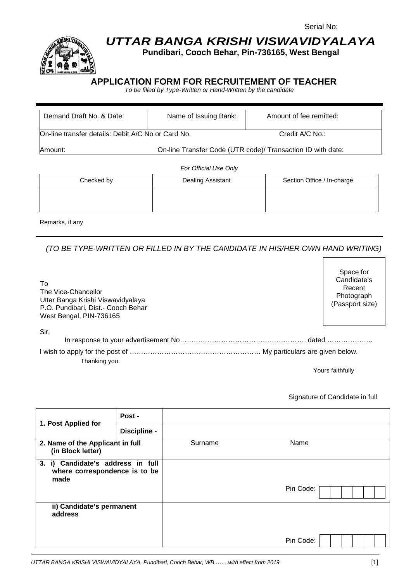

# **UTTAR BANGA KRISHI VISWAVIDYALAYA**

**Pundibari, Cooch Behar, Pin-736165, West Bengal** 

# **APPLICATION FORM FOR RECRUITEMENT OF TEACHER**

To be filled by Type-Written or Hand-Written by the candidate

| Demand Draft No. & Date:                           | Name of Issuing Bank: | Amount of fee remitted:                                     |  |  |  |
|----------------------------------------------------|-----------------------|-------------------------------------------------------------|--|--|--|
|                                                    |                       |                                                             |  |  |  |
| On-line transfer details: Debit A/C No or Card No. | Credit A/C No.:       |                                                             |  |  |  |
| Amount:                                            |                       | On-line Transfer Code (UTR code)/ Transaction ID with date: |  |  |  |
| For Official Use Only                              |                       |                                                             |  |  |  |
|                                                    |                       |                                                             |  |  |  |
| Checked by                                         | Dealing Assistant     | Section Office / In-charge                                  |  |  |  |

Remarks, if any

(TO BE TYPE-WRITTEN OR FILLED IN BY THE CANDIDATE IN HIS/HER OWN HAND WRITING)

| To<br>The Vice-Chancellor<br>Uttar Banga Krishi Viswavidyalaya<br>P.O. Pundibari, Dist.- Cooch Behar<br>West Bengal, PIN-736165 | Candidate's<br>Recent<br>Photograph<br>(Passport size) |
|---------------------------------------------------------------------------------------------------------------------------------|--------------------------------------------------------|
| Sir,                                                                                                                            |                                                        |
| Thanking you.                                                                                                                   |                                                        |
|                                                                                                                                 | Yours faithfullv                                       |

Signature of Candidate in full

Space for

| 1. Post Applied for                                                        | Post -       |         |           |
|----------------------------------------------------------------------------|--------------|---------|-----------|
|                                                                            | Discipline - |         |           |
| 2. Name of the Applicant in full<br>(in Block letter)                      |              | Surname | Name      |
| 3. i) Candidate's address in full<br>where correspondence is to be<br>made |              |         |           |
|                                                                            |              |         | Pin Code: |
| ii) Candidate's permanent<br>address                                       |              |         |           |
|                                                                            |              |         | Pin Code: |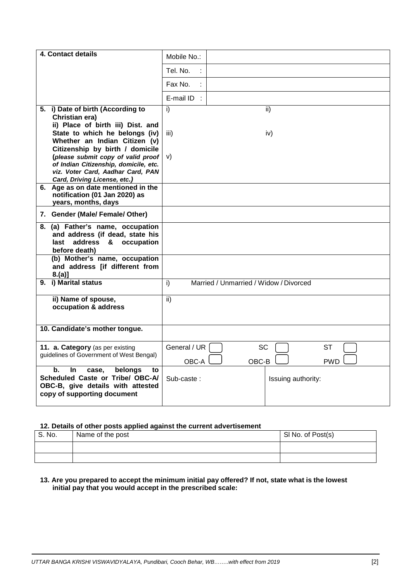| 4. Contact details                                                  | Mobile No.:                                  |
|---------------------------------------------------------------------|----------------------------------------------|
|                                                                     |                                              |
|                                                                     | Tel. No.                                     |
|                                                                     | Fax No.                                      |
|                                                                     | E-mail $ID$ :                                |
| 5. i) Date of birth (According to                                   | i)<br>ii)                                    |
| Christian era)                                                      |                                              |
| ii) Place of birth iii) Dist. and<br>State to which he belongs (iv) | iii)<br>iv)                                  |
| Whether an Indian Citizen (v)                                       |                                              |
| Citizenship by birth / domicile                                     |                                              |
| (please submit copy of valid proof                                  | V)                                           |
| of Indian Citizenship, domicile, etc.                               |                                              |
| viz. Voter Card, Aadhar Card, PAN                                   |                                              |
| Card, Driving License, etc.)<br>6. Age as on date mentioned in the  |                                              |
| notification (01 Jan 2020) as                                       |                                              |
| years, months, days                                                 |                                              |
| 7. Gender (Male/ Female/ Other)                                     |                                              |
| 8. (a) Father's name, occupation                                    |                                              |
| and address (if dead, state his                                     |                                              |
| last address & occupation<br>before death)                          |                                              |
| (b) Mother's name, occupation                                       |                                              |
| and address [if different from                                      |                                              |
| $8.(a)$ ]                                                           |                                              |
| 9. i) Marital status                                                | Married / Unmarried / Widow / Divorced<br>i) |
| ii) Name of spouse,                                                 | ii)                                          |
| occupation & address                                                |                                              |
|                                                                     |                                              |
| 10. Candidate's mother tongue.                                      |                                              |
|                                                                     |                                              |
| 11. a. Category (as per existing                                    | General / UR<br><b>SC</b><br><b>ST</b>       |
| guidelines of Government of West Bengal)                            | OBC-A<br>OBC-B<br><b>PWD</b>                 |
| b.<br>belongs<br>In.<br>case,<br>to                                 |                                              |
| Scheduled Caste or Tribe/ OBC-A/                                    | Sub-caste:<br>Issuing authority:             |
| OBC-B, give details with attested                                   |                                              |
| copy of supporting document                                         |                                              |
|                                                                     |                                              |

#### **12. Details of other posts applied against the current advertisement**

| S. No. | Name of the post | SI No. of Post(s) |
|--------|------------------|-------------------|
|        |                  |                   |
|        |                  |                   |

#### **13. Are you prepared to accept the minimum initial pay offered? If not, state what is the lowest initial pay that you would accept in the prescribed scale:**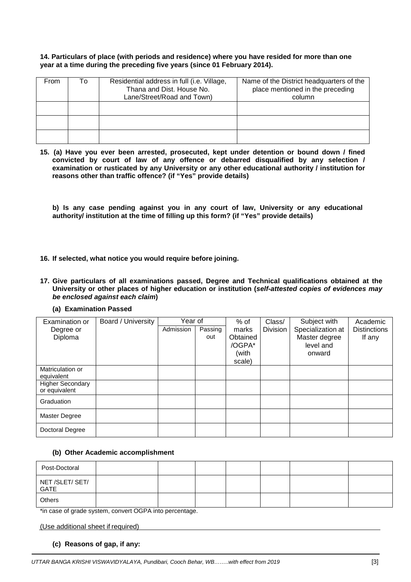#### **14. Particulars of place (with periods and residence) where you have resided for more than one year at a time during the preceding five years (since 01 February 2014).**

| From | Т٥ | Residential address in full (i.e. Village,<br>Thana and Dist. House No.<br>Lane/Street/Road and Town) | Name of the District headquarters of the<br>place mentioned in the preceding<br>column |
|------|----|-------------------------------------------------------------------------------------------------------|----------------------------------------------------------------------------------------|
|      |    |                                                                                                       |                                                                                        |
|      |    |                                                                                                       |                                                                                        |
|      |    |                                                                                                       |                                                                                        |

**15. (a) Have you ever been arrested, prosecuted, kept under detention or bound down / fined convicted by court of law of any offence or debarred disqualified by any selection / examination or rusticated by any University or any other educational authority / institution for reasons other than traffic offence? (if "Yes" provide details)** 

**b) Is any case pending against you in any court of law, University or any educational authority/ institution at the time of filling up this form? (if "Yes" provide details)** 

- **16. If selected, what notice you would require before joining.**
- **17. Give particulars of all examinations passed, Degree and Technical qualifications obtained at the University or other places of higher education or institution (self-attested copies of evidences may be enclosed against each claim)** 
	- **(a) Examination Passed**

| Examination or          | Board / University | Year of   |         | $%$ of   | Class/          | Subject with      | Academic            |
|-------------------------|--------------------|-----------|---------|----------|-----------------|-------------------|---------------------|
| Degree or               |                    | Admission | Passing | marks    | <b>Division</b> | Specialization at | <b>Distinctions</b> |
| Diploma                 |                    |           | out     | Obtained |                 | Master degree     | If any              |
|                         |                    |           |         | /OGPA*   |                 | level and         |                     |
|                         |                    |           |         | (with    |                 | onward            |                     |
|                         |                    |           |         | scale)   |                 |                   |                     |
| Matriculation or        |                    |           |         |          |                 |                   |                     |
| equivalent              |                    |           |         |          |                 |                   |                     |
| <b>Higher Secondary</b> |                    |           |         |          |                 |                   |                     |
| or equivalent           |                    |           |         |          |                 |                   |                     |
| Graduation              |                    |           |         |          |                 |                   |                     |
| <b>Master Degree</b>    |                    |           |         |          |                 |                   |                     |
| Doctoral Degree         |                    |           |         |          |                 |                   |                     |

#### **(b) Other Academic accomplishment**

| Post-Doctoral           |  |  |  |  |
|-------------------------|--|--|--|--|
| NET /SLET/ SET/<br>GATE |  |  |  |  |
| Others                  |  |  |  |  |

\*in case of grade system, convert OGPA into percentage.

(Use additional sheet if required)

**(c) Reasons of gap, if any:**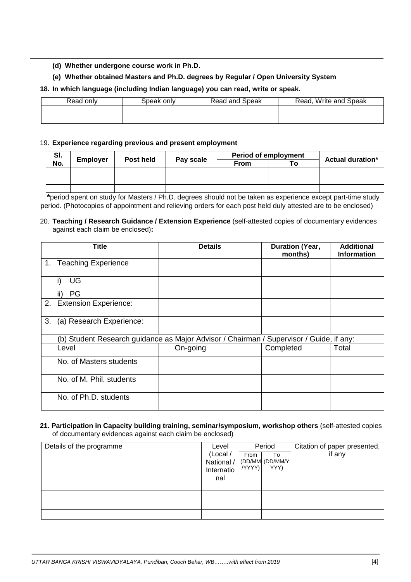**(d) Whether undergone course work in Ph.D.** 

### **(e) Whether obtained Masters and Ph.D. degrees by Regular / Open University System**

### **18. In which language (including Indian language) you can read, write or speak.**

| Read only | Speak onlv | Read and Speak | Read, Write and Speak |
|-----------|------------|----------------|-----------------------|
|           |            |                |                       |
|           |            |                |                       |

#### 19. **Experience regarding previous and present employment**

| SI. |                 | Post held | Pay scale | <b>Period of employment</b> |    | <b>Actual duration*</b> |
|-----|-----------------|-----------|-----------|-----------------------------|----|-------------------------|
| No. | <b>Employer</b> |           |           | <b>From</b>                 | ⊤о |                         |
|     |                 |           |           |                             |    |                         |
|     |                 |           |           |                             |    |                         |
|     |                 |           |           |                             |    |                         |

 **\***period spent on study for Masters / Ph.D. degrees should not be taken as experience except part-time study period. (Photocopies of appointment and relieving orders for each post held duly attested are to be enclosed)

#### 20. **Teaching / Research Guidance / Extension Experience** (self-attested copies of documentary evidences against each claim be enclosed)**:**

|    | Title                    | <b>Details</b>                                                                          | <b>Duration (Year,</b><br>months) | <b>Additional</b><br><b>Information</b> |
|----|--------------------------|-----------------------------------------------------------------------------------------|-----------------------------------|-----------------------------------------|
|    | 1. Teaching Experience   |                                                                                         |                                   |                                         |
|    | UG<br>i)                 |                                                                                         |                                   |                                         |
|    | PG                       |                                                                                         |                                   |                                         |
|    | 2. Extension Experience: |                                                                                         |                                   |                                         |
| 3. | (a) Research Experience: |                                                                                         |                                   |                                         |
|    |                          | (b) Student Research guidance as Major Advisor / Chairman / Supervisor / Guide, if any: |                                   |                                         |
|    | Level                    | On-going                                                                                | Completed                         | Total                                   |
|    | No. of Masters students  |                                                                                         |                                   |                                         |
|    | No. of M. Phil. students |                                                                                         |                                   |                                         |
|    | No. of Ph.D. students    |                                                                                         |                                   |                                         |

#### **21. Participation in Capacity building training, seminar/symposium, workshop others** (self-attested copies of documentary evidences against each claim be enclosed)

| Details of the programme | Level      | Period   |                  | Citation of paper presented, |
|--------------------------|------------|----------|------------------|------------------------------|
|                          | (Local /   | From     | To               | if any                       |
|                          | National / |          | (DD/MM (DD/MM/Y) |                              |
|                          | Internatio | /YYYY) I | YYY)             |                              |
|                          | nal        |          |                  |                              |
|                          |            |          |                  |                              |
|                          |            |          |                  |                              |
|                          |            |          |                  |                              |
|                          |            |          |                  |                              |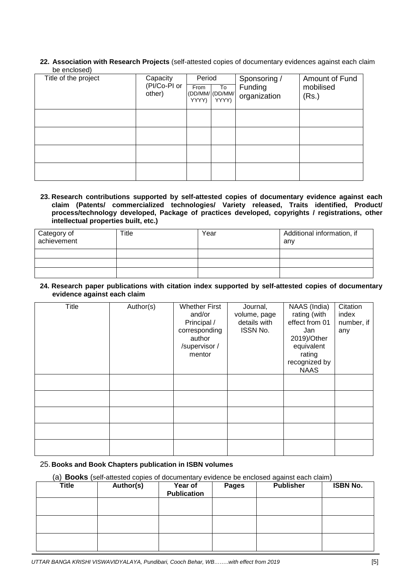**22. Association with Research Projects** (self-attested copies of documentary evidences against each claim be enclosed)

| Title of the project | Capacity<br>(PI/Co-PI or<br>other) | Period<br>From<br>YYYY) | To<br>(DD/MM/ (DD/MM/<br>YYYY) | Sponsoring /<br>Funding<br>organization | Amount of Fund<br>mobilised<br>(Rs.) |
|----------------------|------------------------------------|-------------------------|--------------------------------|-----------------------------------------|--------------------------------------|
|                      |                                    |                         |                                |                                         |                                      |
|                      |                                    |                         |                                |                                         |                                      |
|                      |                                    |                         |                                |                                         |                                      |
|                      |                                    |                         |                                |                                         |                                      |

**23. Research contributions supported by self-attested copies of documentary evidence against each claim (Patents/ commercialized technologies/ Variety released, Traits identified, Product/ process/technology developed, Package of practices developed, copyrights / registrations, other intellectual properties built, etc.)** 

| Category of<br>achievement | Title | Year | Additional information, if<br>any |
|----------------------------|-------|------|-----------------------------------|
|                            |       |      |                                   |
|                            |       |      |                                   |
|                            |       |      |                                   |

**24. Research paper publications with citation index supported by self-attested copies of documentary evidence against each claim** 

| Title | Author(s) | <b>Whether First</b><br>and/or<br>Principal /<br>corresponding<br>author<br>/supervisor/<br>mentor | Journal,<br>volume, page<br>details with<br>ISSN No. | NAAS (India)<br>rating (with<br>effect from 01<br>Jan<br>2019)/Other<br>equivalent<br>rating<br>recognized by<br><b>NAAS</b> | Citation<br>index<br>number, if<br>any |
|-------|-----------|----------------------------------------------------------------------------------------------------|------------------------------------------------------|------------------------------------------------------------------------------------------------------------------------------|----------------------------------------|
|       |           |                                                                                                    |                                                      |                                                                                                                              |                                        |
|       |           |                                                                                                    |                                                      |                                                                                                                              |                                        |
|       |           |                                                                                                    |                                                      |                                                                                                                              |                                        |
|       |           |                                                                                                    |                                                      |                                                                                                                              |                                        |
|       |           |                                                                                                    |                                                      |                                                                                                                              |                                        |

#### 25. **Books and Book Chapters publication in ISBN volumes**

(a) **Books** (self-attested copies of documentary evidence be enclosed against each claim)

| <b>Title</b> | Author(s) | Year of<br><b>Publication</b> | <b>Pages</b> | <b>Publisher</b> | <b>ISBN No.</b> |
|--------------|-----------|-------------------------------|--------------|------------------|-----------------|
|              |           |                               |              |                  |                 |
|              |           |                               |              |                  |                 |
|              |           |                               |              |                  |                 |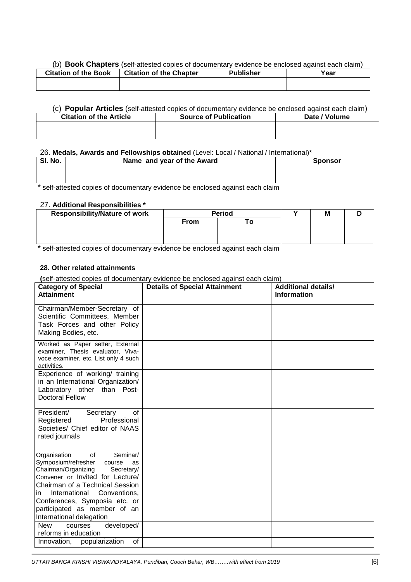#### (b) **Book Chapters** (self-attested copies of documentary evidence be enclosed against each claim)

| <b>Citation of the Book</b> | <b>Citation of the Chapter</b> | <b>Publisher</b> | Year |
|-----------------------------|--------------------------------|------------------|------|
|                             |                                |                  |      |
|                             |                                |                  |      |

#### (c) **Popular Articles** (self-attested copies of documentary evidence be enclosed against each claim)

| <b>Citation of the Article</b> | <b>Source of Publication</b> | Date / Volume |
|--------------------------------|------------------------------|---------------|
|                                |                              |               |
|                                |                              |               |

#### 26. **Medals, Awards and Fellowships obtained** (Level: Local / National / International)\*

| SI. No. | Name and year of the Award | <b>Sponsor</b> |
|---------|----------------------------|----------------|
|         |                            |                |
|         |                            |                |

\* self-attested copies of documentary evidence be enclosed against each claim

## 27. **Additional Responsibilities \***

| <b>Responsibility/Nature of work</b> | <b>Period</b> |  | M |  |
|--------------------------------------|---------------|--|---|--|
|                                      | <b>From</b>   |  |   |  |
|                                      |               |  |   |  |
|                                      |               |  |   |  |

\* self-attested copies of documentary evidence be enclosed against each claim

#### **28. Other related attainments**

**(**self-attested copies of documentary evidence be enclosed against each claim)

| <b>Category of Special</b><br><b>Attainment</b>                                                                                                                                                                                                                                                                        | <b>Details of Special Attainment</b> | <b>Additional details/</b><br><b>Information</b> |
|------------------------------------------------------------------------------------------------------------------------------------------------------------------------------------------------------------------------------------------------------------------------------------------------------------------------|--------------------------------------|--------------------------------------------------|
| Chairman/Member-Secretary of<br>Scientific Committees, Member<br>Task Forces and other Policy<br>Making Bodies, etc.                                                                                                                                                                                                   |                                      |                                                  |
| Worked as Paper setter, External<br>examiner, Thesis evaluator, Viva-<br>voce examiner, etc. List only 4 such<br>activities.                                                                                                                                                                                           |                                      |                                                  |
| Experience of working/ training<br>in an International Organization/<br>Laboratory other than Post-<br><b>Doctoral Fellow</b>                                                                                                                                                                                          |                                      |                                                  |
| President/<br>of<br>Secretary<br>Professional<br>Registered<br>Societies/ Chief editor of NAAS<br>rated journals                                                                                                                                                                                                       |                                      |                                                  |
| Seminar/<br>Organisation<br>of<br>Symposium/refresher<br>course<br>as<br>Chairman/Organizing<br>Secretary/<br>Convener or Invited for Lecture/<br>Chairman of a Technical Session<br>International<br>Conventions,<br>in.<br>Conferences, Symposia etc. or<br>participated as member of an<br>International delegation |                                      |                                                  |
| developed/<br><b>New</b><br>courses<br>reforms in education<br>of                                                                                                                                                                                                                                                      |                                      |                                                  |
| popularization<br>Innovation,                                                                                                                                                                                                                                                                                          |                                      |                                                  |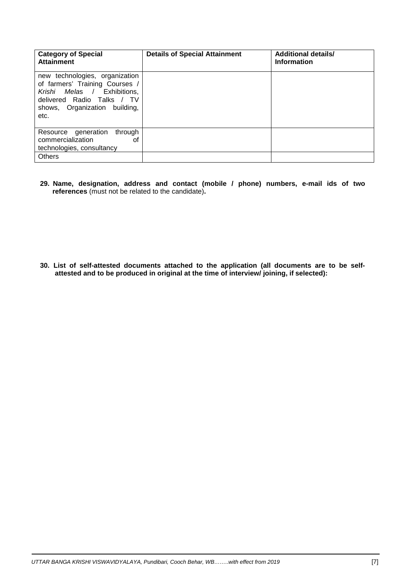| <b>Category of Special</b><br><b>Attainment</b>                                                                                                                           | <b>Details of Special Attainment</b> | <b>Additional details/</b><br><b>Information</b> |
|---------------------------------------------------------------------------------------------------------------------------------------------------------------------------|--------------------------------------|--------------------------------------------------|
| new technologies, organization<br>of farmers' Training Courses /<br>Melas / Exhibitions,<br>Krishi<br>delivered Radio Talks / TV<br>shows, Organization building,<br>etc. |                                      |                                                  |
| Resource generation<br>through<br>commercialization<br>οf<br>technologies, consultancy                                                                                    |                                      |                                                  |
| <b>Others</b>                                                                                                                                                             |                                      |                                                  |

**29. Name, designation, address and contact (mobile / phone) numbers, e-mail ids of two references** (must not be related to the candidate)**.** 

**30. List of self-attested documents attached to the application (all documents are to be selfattested and to be produced in original at the time of interview/ joining, if selected):**